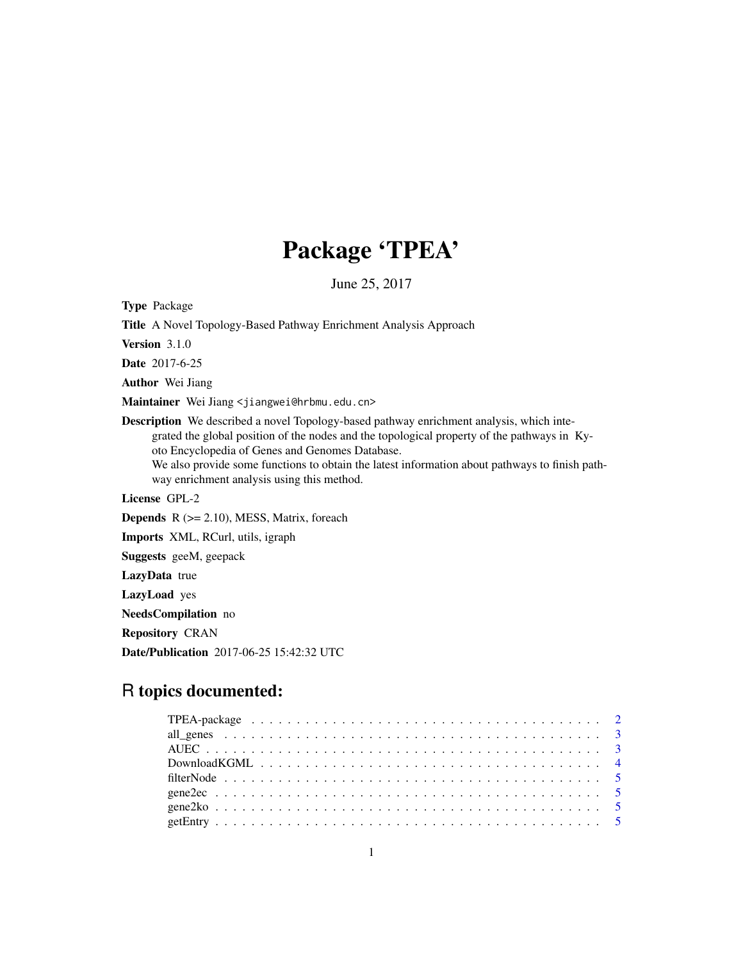## Package 'TPEA'

June 25, 2017

Type Package

Title A Novel Topology-Based Pathway Enrichment Analysis Approach

Version 3.1.0

Date 2017-6-25

Author Wei Jiang

Maintainer Wei Jiang <jiangwei@hrbmu.edu.cn>

Description We described a novel Topology-based pathway enrichment analysis, which integrated the global position of the nodes and the topological property of the pathways in Kyoto Encyclopedia of Genes and Genomes Database. We also provide some functions to obtain the latest information about pathways to finish pathway enrichment analysis using this method.

License GPL-2

**Depends**  $R$  ( $>= 2.10$ ), MESS, Matrix, foreach

Imports XML, RCurl, utils, igraph

Suggests geeM, geepack

LazyData true

LazyLoad yes

NeedsCompilation no

Repository CRAN

Date/Publication 2017-06-25 15:42:32 UTC

## R topics documented: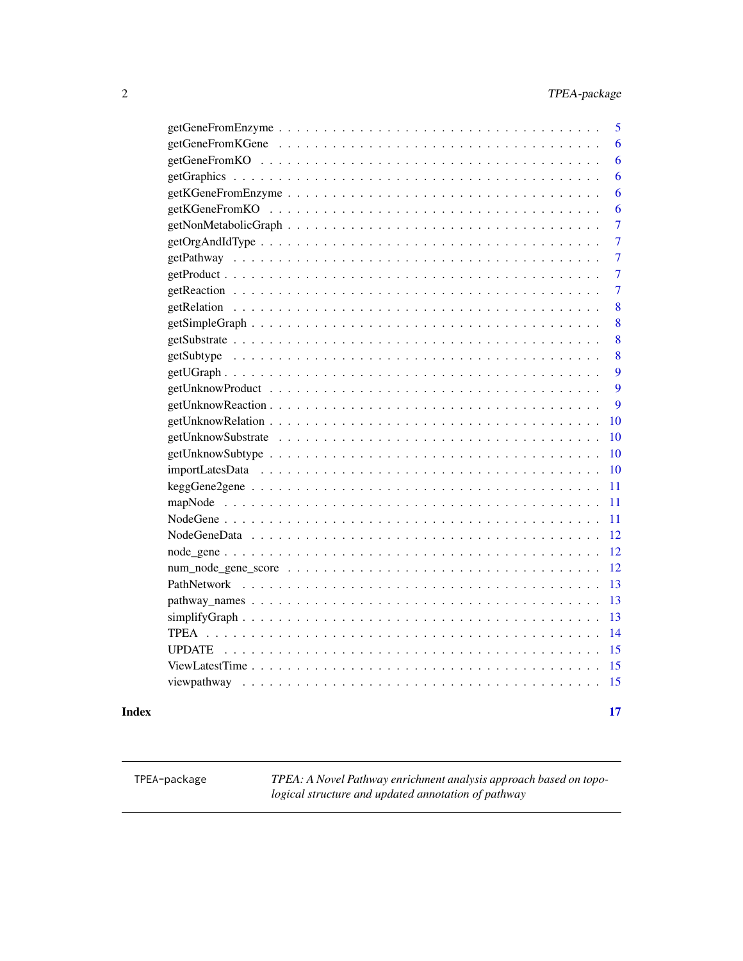<span id="page-1-0"></span>

| 5              |
|----------------|
| 6              |
| 6              |
| 6              |
| 6              |
| 6              |
| 7              |
| $\overline{7}$ |
| 7              |
| 7              |
| $\overline{7}$ |
| 8              |
| 8              |
| 8              |
| 8              |
| 9              |
| 9              |
| 9              |
| 10             |
| 10             |
| 10             |
| 10             |
| 11             |
| 11             |
| 11             |
| 12             |
| 12             |
| 12             |
| 13             |
| 13             |
| 13             |
| 14             |
| 15             |
| 15             |
| 15             |
|                |

#### **Index** [17](#page-16-0)

TPEA-package *TPEA: A Novel Pathway enrichment analysis approach based on topological structure and updated annotation of pathway*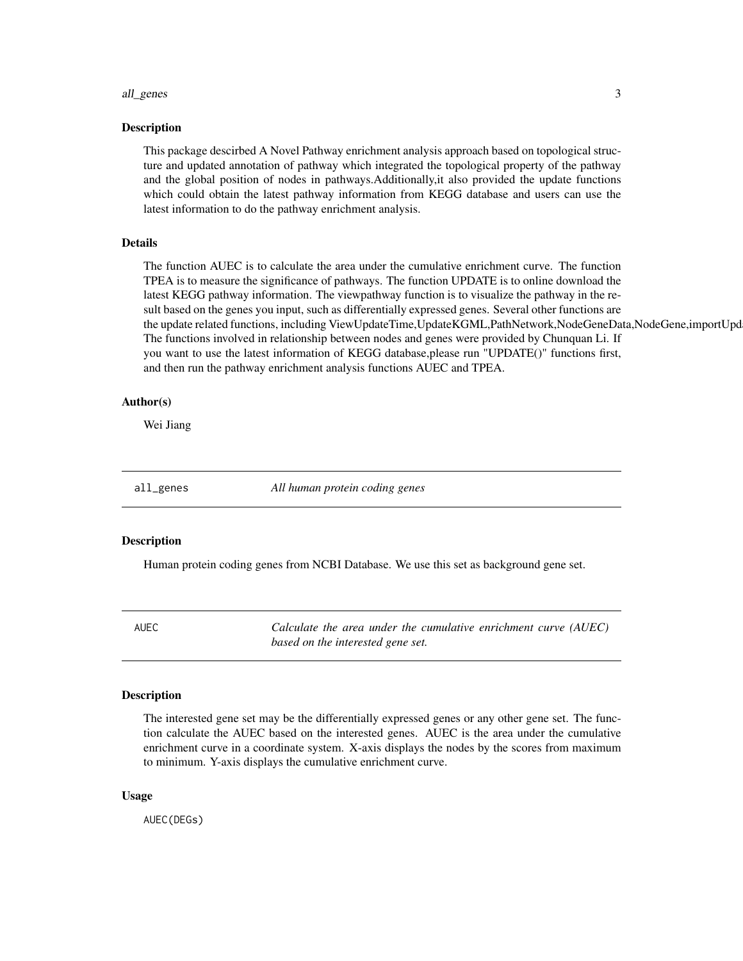#### <span id="page-2-0"></span>all\_genes 3

#### Description

This package descirbed A Novel Pathway enrichment analysis approach based on topological structure and updated annotation of pathway which integrated the topological property of the pathway and the global position of nodes in pathways.Additionally,it also provided the update functions which could obtain the latest pathway information from KEGG database and users can use the latest information to do the pathway enrichment analysis.

#### Details

The function AUEC is to calculate the area under the cumulative enrichment curve. The function TPEA is to measure the significance of pathways. The function UPDATE is to online download the latest KEGG pathway information. The viewpathway function is to visualize the pathway in the result based on the genes you input, such as differentially expressed genes. Several other functions are the update related functions, including ViewUpdateTime,UpdateKGML,PathNetwork,NodeGeneData,NodeGene,importUpd The functions involved in relationship between nodes and genes were provided by Chunquan Li. If you want to use the latest information of KEGG database,please run "UPDATE()" functions first, and then run the pathway enrichment analysis functions AUEC and TPEA.

### Author(s)

Wei Jiang

all\_genes *All human protein coding genes*

#### **Description**

Human protein coding genes from NCBI Database. We use this set as background gene set.

AUEC *Calculate the area under the cumulative enrichment curve (AUEC) based on the interested gene set.*

#### Description

The interested gene set may be the differentially expressed genes or any other gene set. The function calculate the AUEC based on the interested genes. AUEC is the area under the cumulative enrichment curve in a coordinate system. X-axis displays the nodes by the scores from maximum to minimum. Y-axis displays the cumulative enrichment curve.

#### Usage

AUEC(DEGs)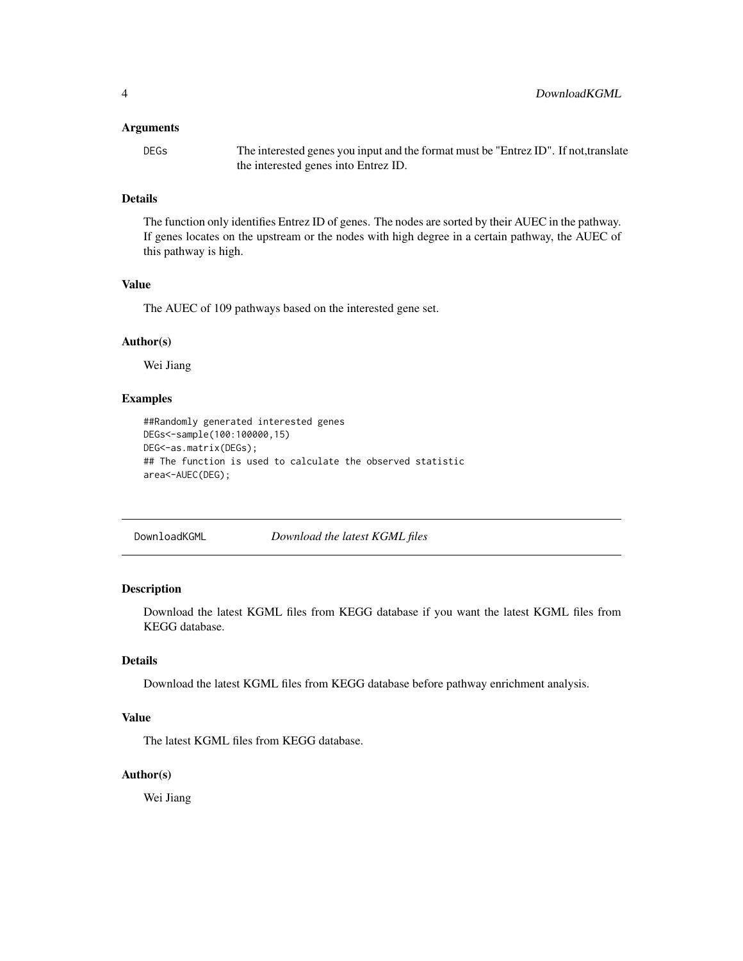#### <span id="page-3-0"></span>Arguments

DEGs The interested genes you input and the format must be "Entrez ID". If not,translate the interested genes into Entrez ID.

### Details

The function only identifies Entrez ID of genes. The nodes are sorted by their AUEC in the pathway. If genes locates on the upstream or the nodes with high degree in a certain pathway, the AUEC of this pathway is high.

#### Value

The AUEC of 109 pathways based on the interested gene set.

#### Author(s)

Wei Jiang

### Examples

```
##Randomly generated interested genes
DEGs<-sample(100:100000,15)
DEG<-as.matrix(DEGs);
## The function is used to calculate the observed statistic
area<-AUEC(DEG);
```
DownloadKGML *Download the latest KGML files*

### Description

Download the latest KGML files from KEGG database if you want the latest KGML files from KEGG database.

### Details

Download the latest KGML files from KEGG database before pathway enrichment analysis.

#### Value

The latest KGML files from KEGG database.

#### Author(s)

Wei Jiang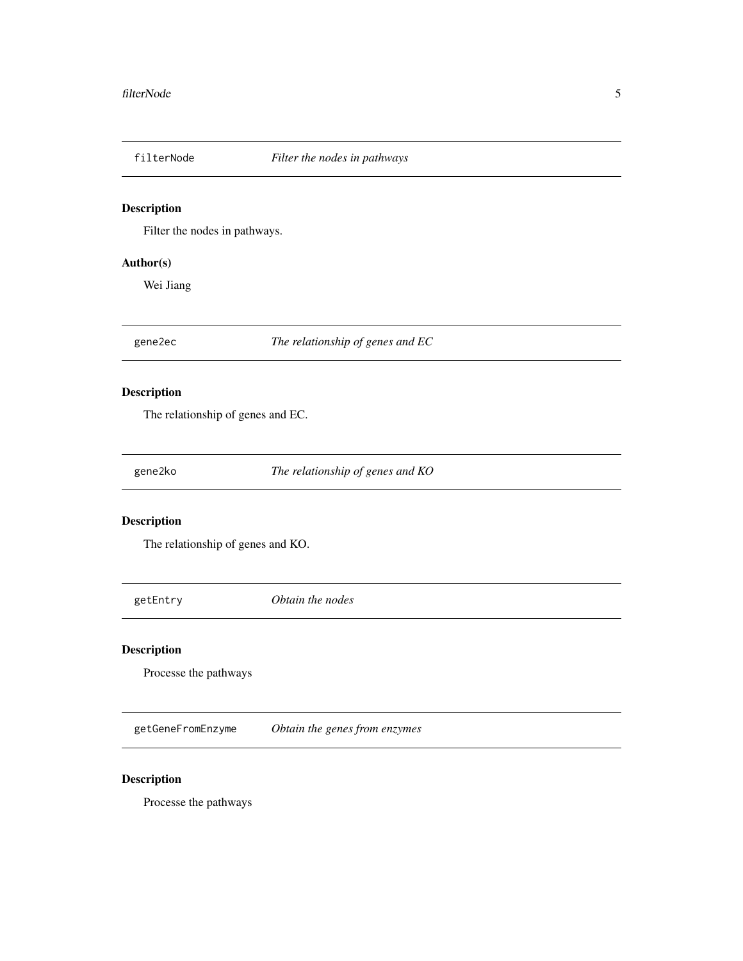<span id="page-4-0"></span>

Filter the nodes in pathways.

### Author(s)

Wei Jiang

gene2ec *The relationship of genes and EC*

### Description

The relationship of genes and EC.

gene2ko *The relationship of genes and KO*

### Description

The relationship of genes and KO.

getEntry *Obtain the nodes*

### Description

Processe the pathways

getGeneFromEnzyme *Obtain the genes from enzymes*

### Description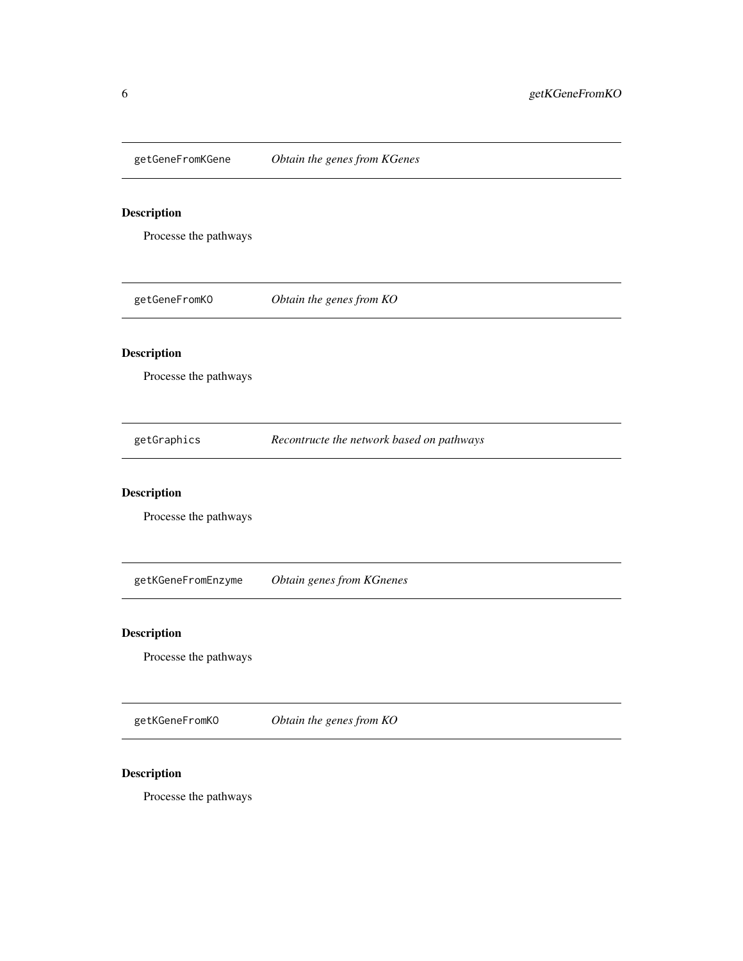<span id="page-5-0"></span>

Processe the pathways

getGeneFromKO *Obtain the genes from KO*

### Description

Processe the pathways

getGraphics *Recontructe the network based on pathways*

### Description

Processe the pathways

getKGeneFromEnzyme *Obtain genes from KGnenes*

### Description

Processe the pathways

getKGeneFromKO *Obtain the genes from KO*

### Description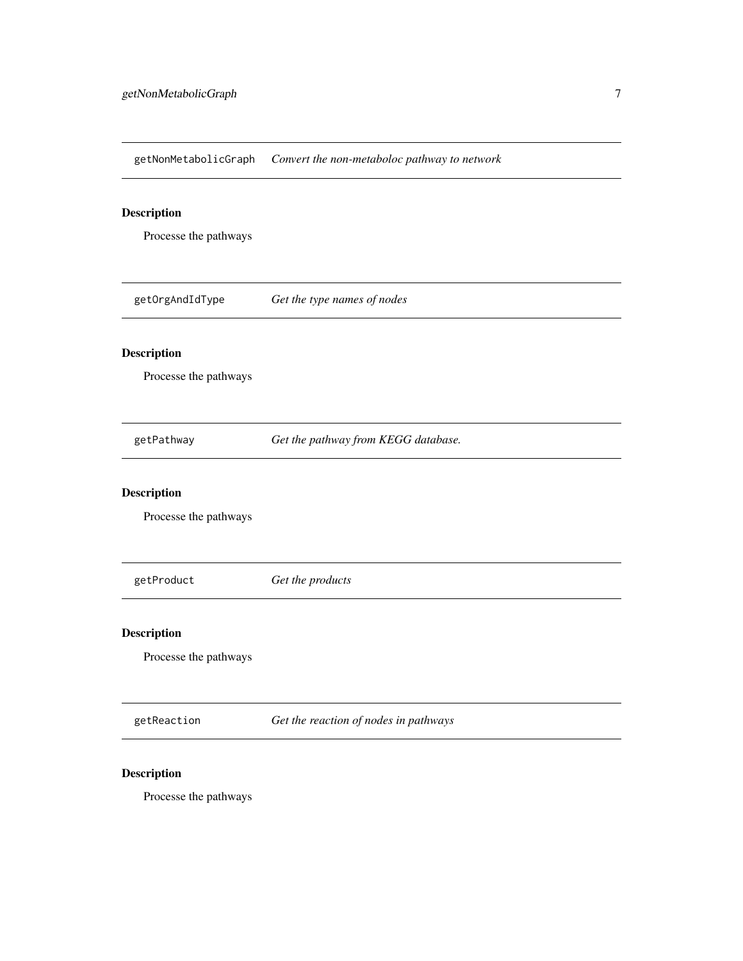<span id="page-6-0"></span>getNonMetabolicGraph *Convert the non-metaboloc pathway to network*

### Description

Processe the pathways

getOrgAndIdType *Get the type names of nodes*

### Description

Processe the pathways

getPathway *Get the pathway from KEGG database.*

### Description

Processe the pathways

getProduct *Get the products*

### Description

Processe the pathways

getReaction *Get the reaction of nodes in pathways*

### Description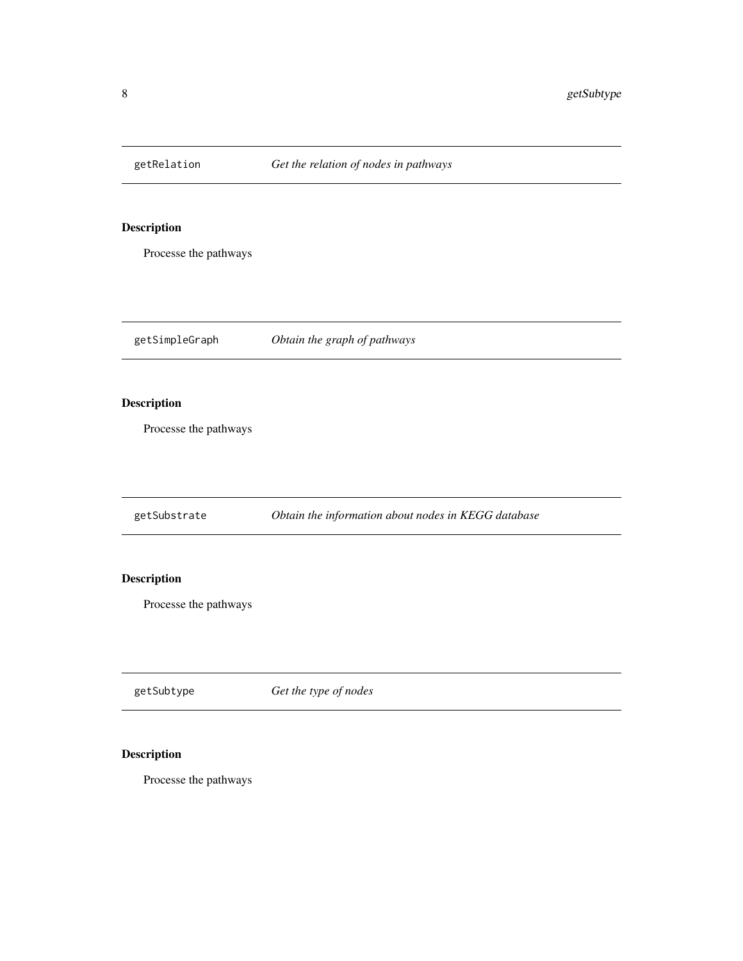<span id="page-7-0"></span>

Processe the pathways

getSimpleGraph *Obtain the graph of pathways*

### Description

Processe the pathways

getSubstrate *Obtain the information about nodes in KEGG database*

### Description

Processe the pathways

getSubtype *Get the type of nodes*

### Description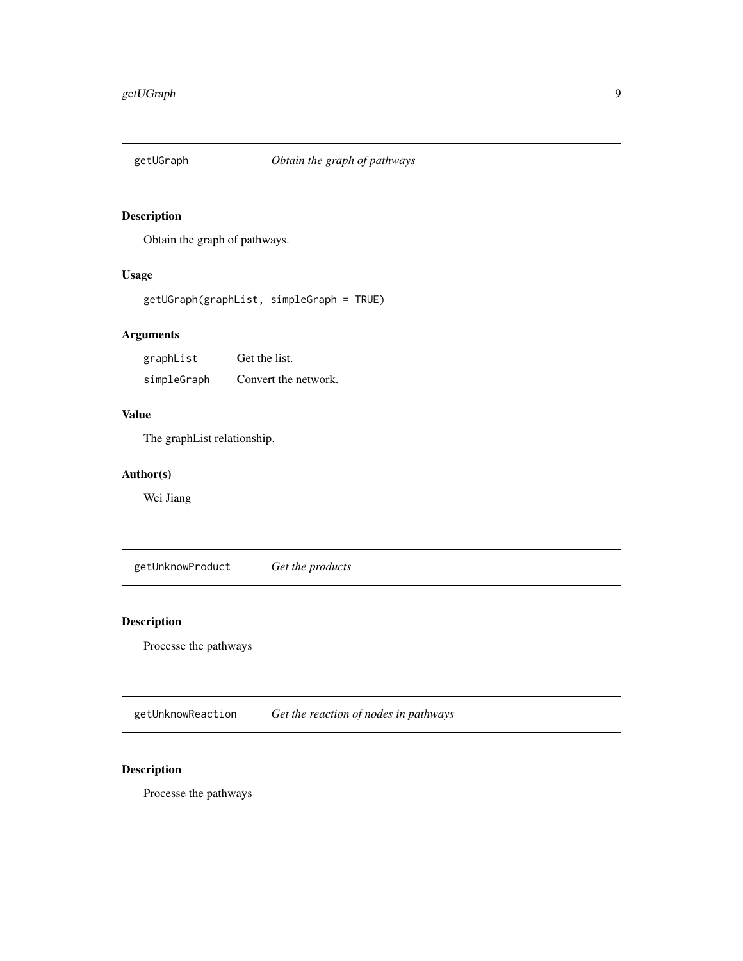<span id="page-8-0"></span>

Obtain the graph of pathways.

### Usage

getUGraph(graphList, simpleGraph = TRUE)

### Arguments

graphList Get the list. simpleGraph Convert the network.

### Value

The graphList relationship.

### Author(s)

Wei Jiang

getUnknowProduct *Get the products*

### Description

Processe the pathways

getUnknowReaction *Get the reaction of nodes in pathways*

### Description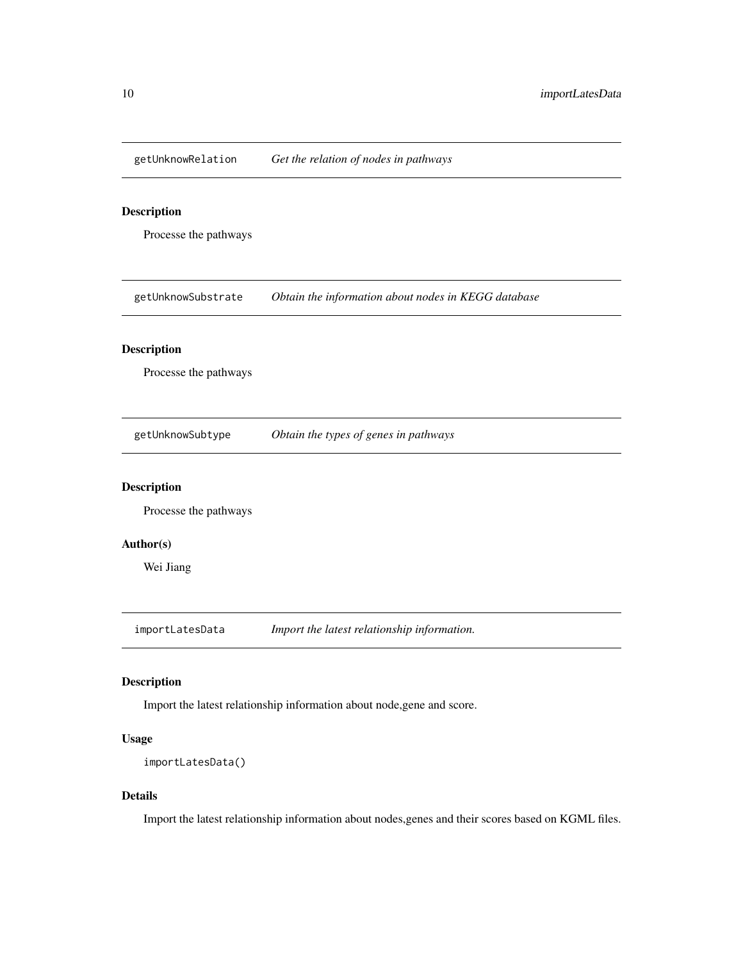<span id="page-9-0"></span>getUnknowRelation *Get the relation of nodes in pathways*

### Description

Processe the pathways

getUnknowSubstrate *Obtain the information about nodes in KEGG database*

### Description

Processe the pathways

getUnknowSubtype *Obtain the types of genes in pathways*

### Description

Processe the pathways

#### Author(s)

Wei Jiang

importLatesData *Import the latest relationship information.*

### Description

Import the latest relationship information about node,gene and score.

#### Usage

```
importLatesData()
```
### Details

Import the latest relationship information about nodes,genes and their scores based on KGML files.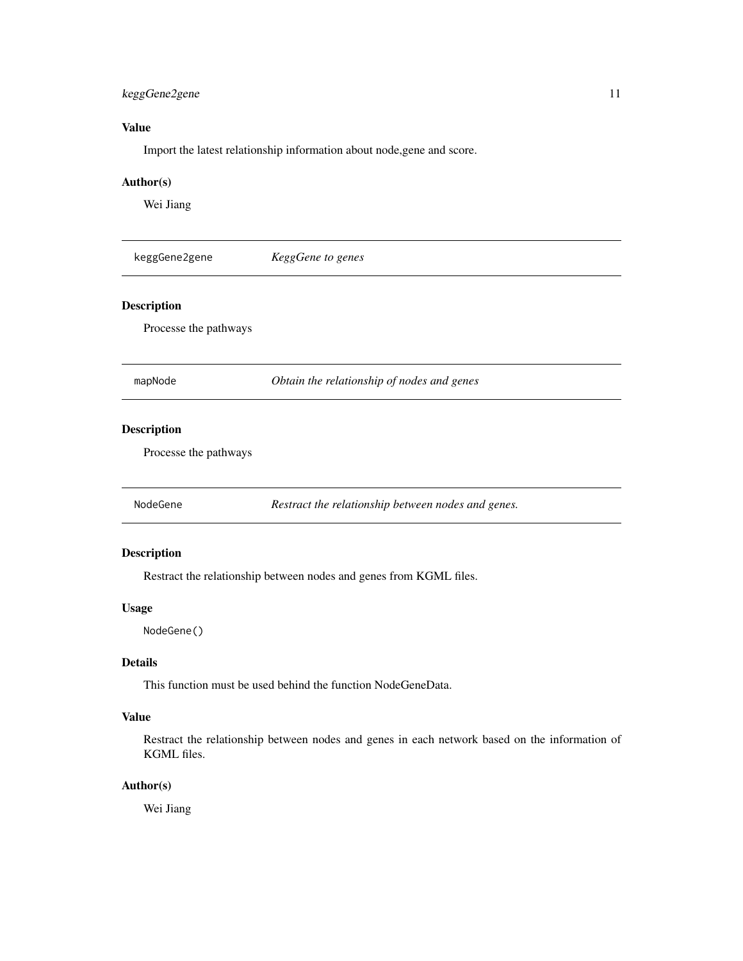### <span id="page-10-0"></span>keggGene2gene 11

### Value

Import the latest relationship information about node,gene and score.

### Author(s)

Wei Jiang

| keggGene2gene         | KeggGene to genes |  |
|-----------------------|-------------------|--|
| <b>Description</b>    |                   |  |
| Processe the pathways |                   |  |
|                       |                   |  |

mapNode *Obtain the relationship of nodes and genes*

### Description

Processe the pathways

NodeGene *Restract the relationship between nodes and genes.*

### Description

Restract the relationship between nodes and genes from KGML files.

### Usage

NodeGene()

### Details

This function must be used behind the function NodeGeneData.

### Value

Restract the relationship between nodes and genes in each network based on the information of KGML files.

### Author(s)

Wei Jiang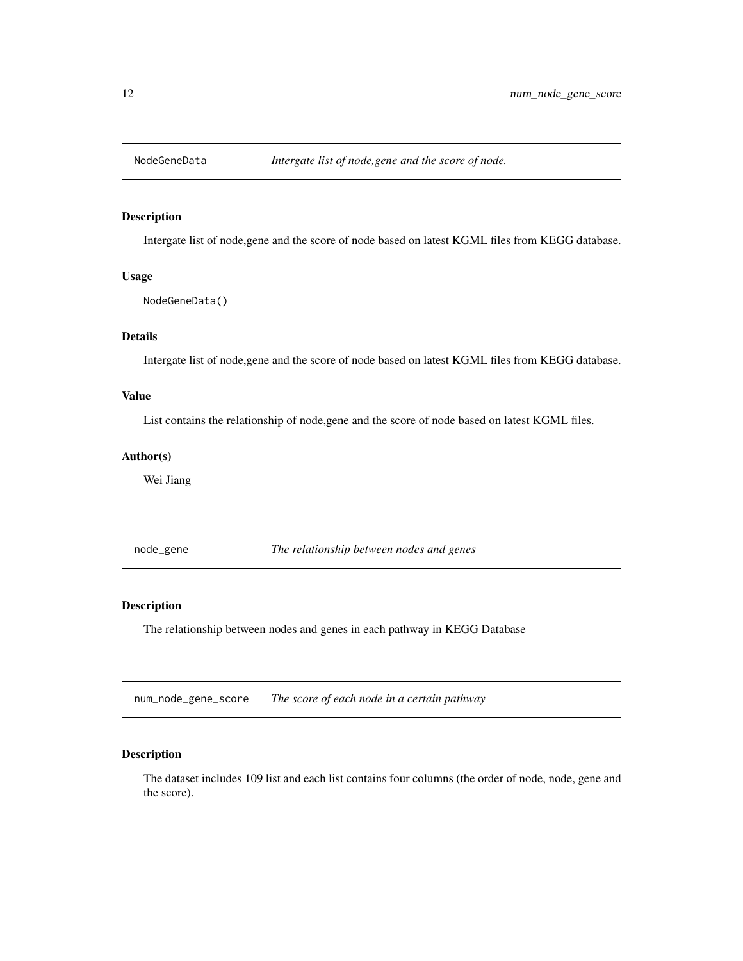<span id="page-11-0"></span>

Intergate list of node,gene and the score of node based on latest KGML files from KEGG database.

#### Usage

NodeGeneData()

### Details

Intergate list of node,gene and the score of node based on latest KGML files from KEGG database.

### Value

List contains the relationship of node,gene and the score of node based on latest KGML files.

### Author(s)

Wei Jiang

node\_gene *The relationship between nodes and genes*

#### Description

The relationship between nodes and genes in each pathway in KEGG Database

num\_node\_gene\_score *The score of each node in a certain pathway*

### Description

The dataset includes 109 list and each list contains four columns (the order of node, node, gene and the score).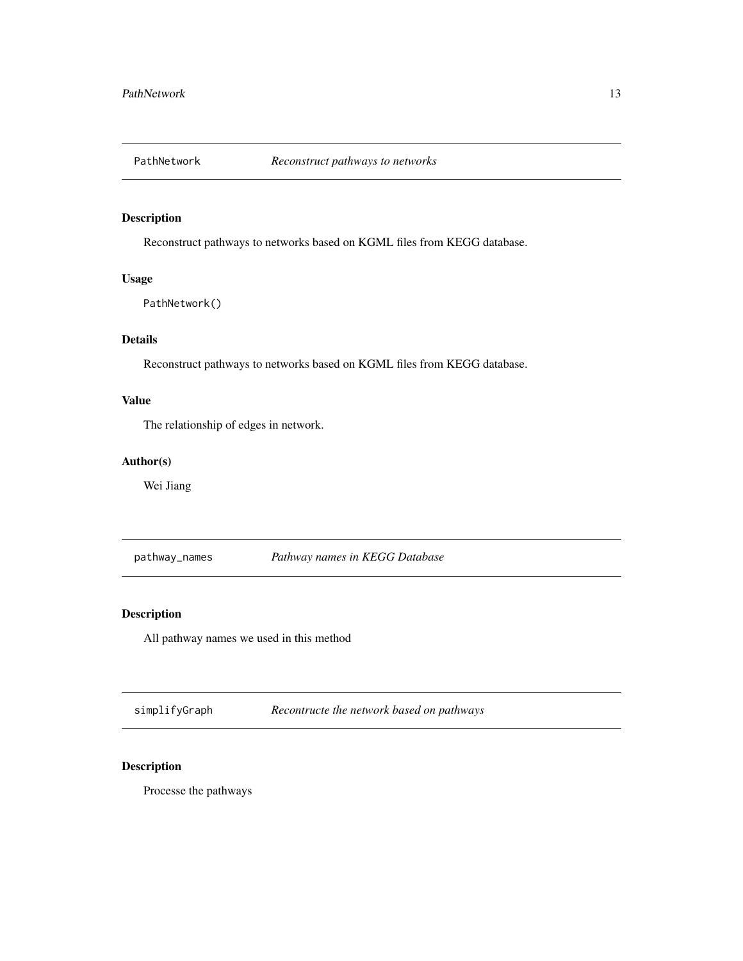<span id="page-12-0"></span>

Reconstruct pathways to networks based on KGML files from KEGG database.

### Usage

PathNetwork()

### Details

Reconstruct pathways to networks based on KGML files from KEGG database.

### Value

The relationship of edges in network.

### Author(s)

Wei Jiang

pathway\_names *Pathway names in KEGG Database*

### Description

All pathway names we used in this method

simplifyGraph *Recontructe the network based on pathways*

### Description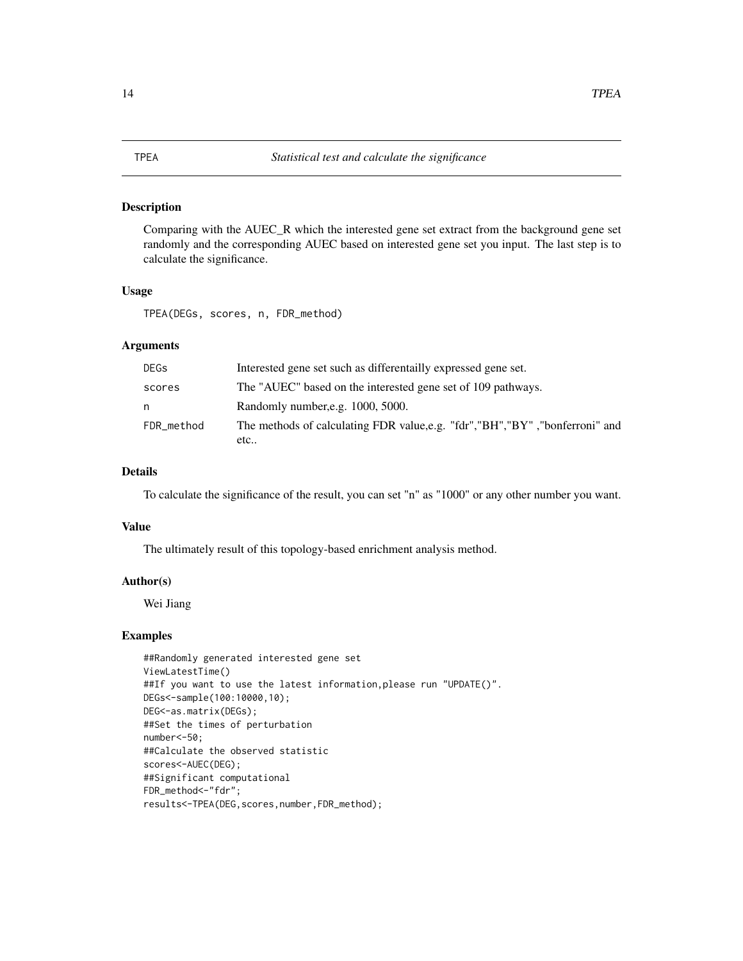<span id="page-13-0"></span>Comparing with the AUEC\_R which the interested gene set extract from the background gene set randomly and the corresponding AUEC based on interested gene set you input. The last step is to calculate the significance.

#### Usage

TPEA(DEGs, scores, n, FDR\_method)

### Arguments

| <b>DEGs</b> | Interested gene set such as differentailly expressed gene set.                        |
|-------------|---------------------------------------------------------------------------------------|
| scores      | The "AUEC" based on the interested gene set of 109 pathways.                          |
| n           | Randomly number, e.g. 1000, 5000.                                                     |
| FDR_method  | The methods of calculating FDR value, e.g. "fdr", "BH", "BY", "bonferroni" and<br>etc |

### Details

To calculate the significance of the result, you can set "n" as "1000" or any other number you want.

#### Value

The ultimately result of this topology-based enrichment analysis method.

### Author(s)

Wei Jiang

### Examples

```
##Randomly generated interested gene set
ViewLatestTime()
##If you want to use the latest information, please run "UPDATE()".
DEGs<-sample(100:10000,10);
DEG<-as.matrix(DEGs);
##Set the times of perturbation
number<-50;
##Calculate the observed statistic
scores<-AUEC(DEG);
##Significant computational
FDR_method<-"fdr";
results<-TPEA(DEG,scores,number,FDR_method);
```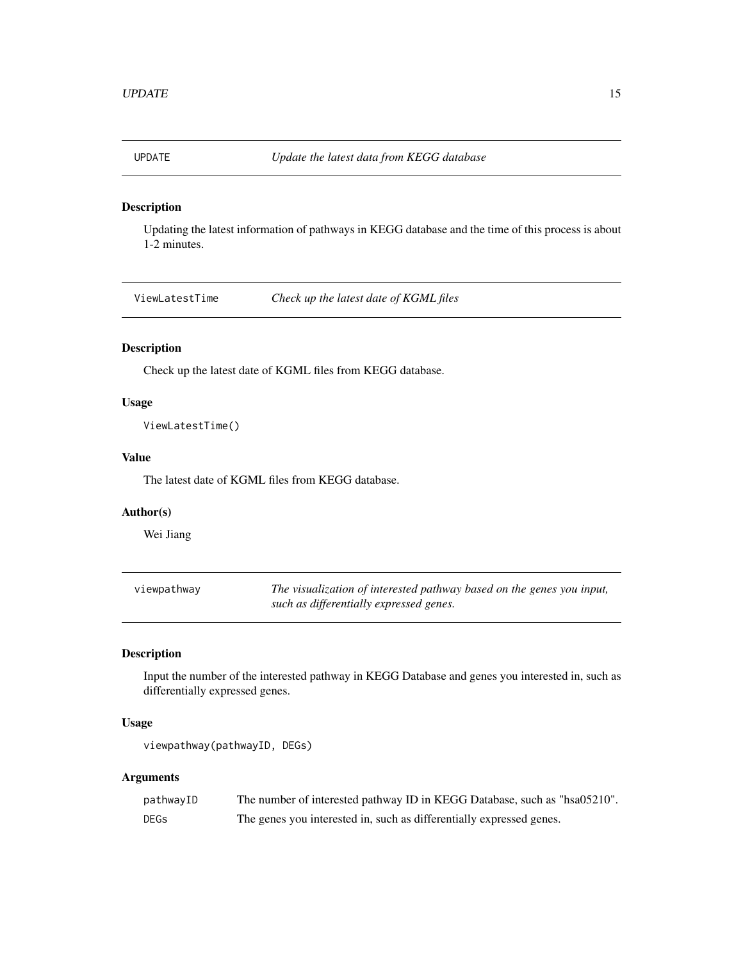<span id="page-14-0"></span>

Updating the latest information of pathways in KEGG database and the time of this process is about 1-2 minutes.

ViewLatestTime *Check up the latest date of KGML files*

### Description

Check up the latest date of KGML files from KEGG database.

#### Usage

ViewLatestTime()

### Value

The latest date of KGML files from KEGG database.

#### Author(s)

Wei Jiang

| viewpathway | The visualization of interested pathway based on the genes you input, |
|-------------|-----------------------------------------------------------------------|
|             | such as differentially expressed genes.                               |

### Description

Input the number of the interested pathway in KEGG Database and genes you interested in, such as differentially expressed genes.

### Usage

viewpathway(pathwayID, DEGs)

#### Arguments

| pathwayID | The number of interested pathway ID in KEGG Database, such as "hsa05210". |
|-----------|---------------------------------------------------------------------------|
| DEGs      | The genes you interested in, such as differentially expressed genes.      |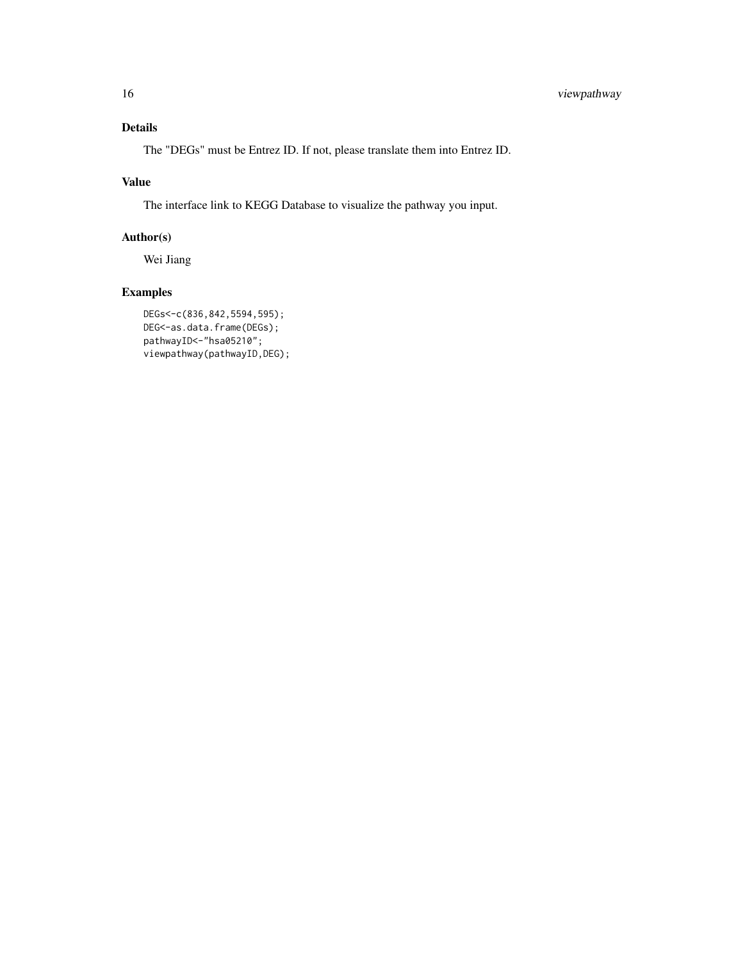### Details

The "DEGs" must be Entrez ID. If not, please translate them into Entrez ID.

### Value

The interface link to KEGG Database to visualize the pathway you input.

### Author(s)

Wei Jiang

### Examples

```
DEGs<-c(836,842,5594,595);
DEG<-as.data.frame(DEGs);
pathwayID<-"hsa05210";
viewpathway(pathwayID,DEG);
```